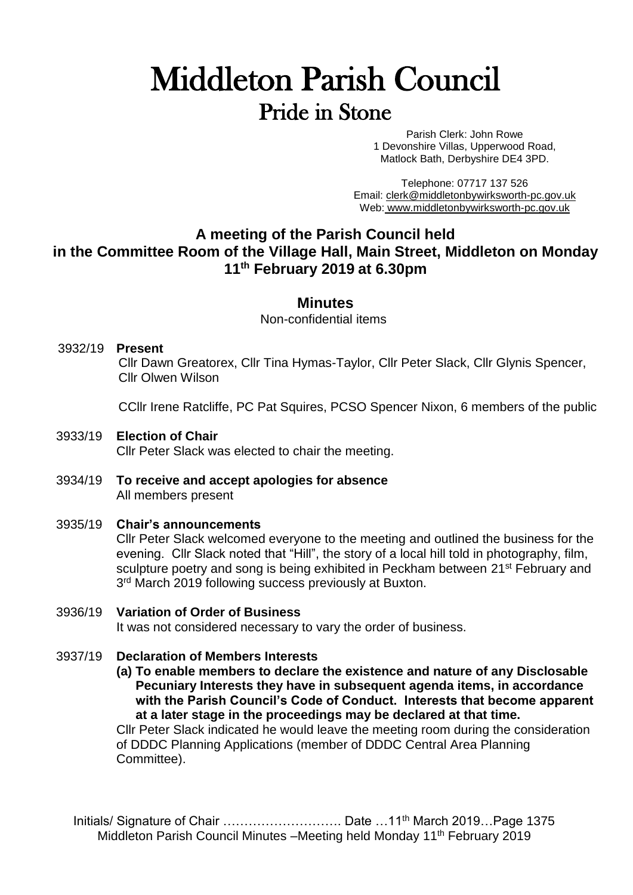# Middleton Parish Council Pride in Stone

Parish Clerk: John Rowe 1 Devonshire Villas, Upperwood Road, Matlock Bath, Derbyshire DE4 3PD.

Telephone: 07717 137 526 Email: [clerk@middletonbywirksworth-pc.gov.uk](mailto:clerk@middletonbywirksworth-pc.gov.uk) Web: [www.middletonbywirksworth-pc.gov.uk](http://www.middletonbywirksworth-pc.gov.uk/)

## **A meeting of the Parish Council held in the Committee Room of the Village Hall, Main Street, Middleton on Monday 11 th February 2019 at 6.30pm**

#### **Minutes**

Non-confidential items

#### 3932/19 **Present**

Cllr Dawn Greatorex, Cllr Tina Hymas-Taylor, Cllr Peter Slack, Cllr Glynis Spencer, Cllr Olwen Wilson

CCllr Irene Ratcliffe, PC Pat Squires, PCSO Spencer Nixon, 6 members of the public

3933/19 **Election of Chair**

Cllr Peter Slack was elected to chair the meeting.

3934/19 **To receive and accept apologies for absence** All members present

#### 3935/19 **Chair's announcements**

Cllr Peter Slack welcomed everyone to the meeting and outlined the business for the evening. Cllr Slack noted that "Hill", the story of a local hill told in photography, film, sculpture poetry and song is being exhibited in Peckham between 21<sup>st</sup> February and 3<sup>rd</sup> March 2019 following success previously at Buxton.

- 3936/19 **Variation of Order of Business** It was not considered necessary to vary the order of business.
- 3937/19 **Declaration of Members Interests**

**(a) To enable members to declare the existence and nature of any Disclosable Pecuniary Interests they have in subsequent agenda items, in accordance with the Parish Council's Code of Conduct. Interests that become apparent at a later stage in the proceedings may be declared at that time.**

Cllr Peter Slack indicated he would leave the meeting room during the consideration of DDDC Planning Applications (member of DDDC Central Area Planning Committee).

Initials/ Signature of Chair …………………………… Date …11<sup>th</sup> March 2019…Page 1375 Middleton Parish Council Minutes -Meeting held Monday 11<sup>th</sup> February 2019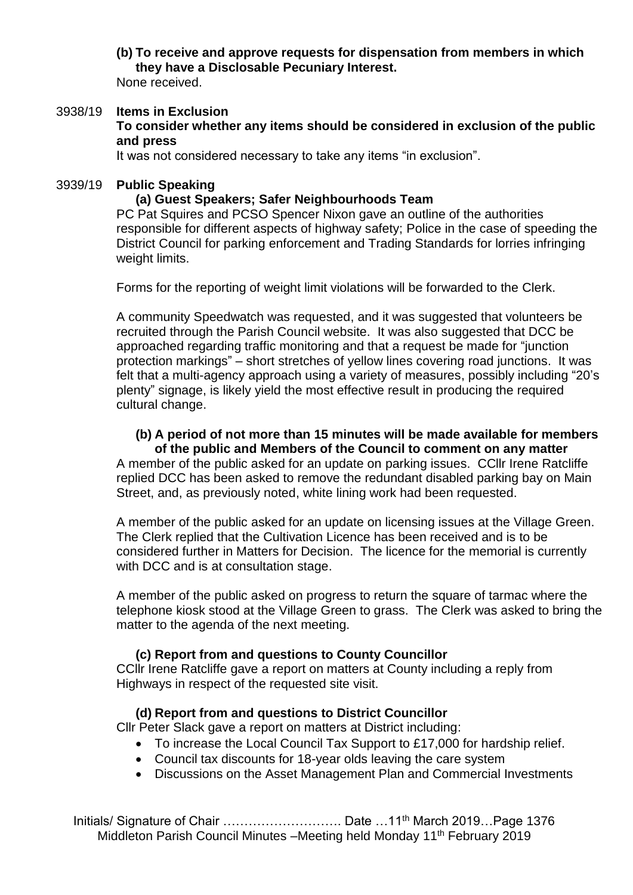**(b) To receive and approve requests for dispensation from members in which they have a Disclosable Pecuniary Interest.**

None received.

#### 3938/19 **Items in Exclusion To consider whether any items should be considered in exclusion of the public and press**

It was not considered necessary to take any items "in exclusion".

#### 3939/19 **Public Speaking**

#### **(a) Guest Speakers; Safer Neighbourhoods Team**

PC Pat Squires and PCSO Spencer Nixon gave an outline of the authorities responsible for different aspects of highway safety; Police in the case of speeding the District Council for parking enforcement and Trading Standards for lorries infringing weight limits.

Forms for the reporting of weight limit violations will be forwarded to the Clerk.

A community Speedwatch was requested, and it was suggested that volunteers be recruited through the Parish Council website. It was also suggested that DCC be approached regarding traffic monitoring and that a request be made for "junction protection markings" – short stretches of yellow lines covering road junctions. It was felt that a multi-agency approach using a variety of measures, possibly including "20's plenty" signage, is likely yield the most effective result in producing the required cultural change.

# **(b) A period of not more than 15 minutes will be made available for members**

**of the public and Members of the Council to comment on any matter** A member of the public asked for an update on parking issues. CCllr Irene Ratcliffe replied DCC has been asked to remove the redundant disabled parking bay on Main Street, and, as previously noted, white lining work had been requested.

A member of the public asked for an update on licensing issues at the Village Green. The Clerk replied that the Cultivation Licence has been received and is to be considered further in Matters for Decision. The licence for the memorial is currently with DCC and is at consultation stage.

A member of the public asked on progress to return the square of tarmac where the telephone kiosk stood at the Village Green to grass. The Clerk was asked to bring the matter to the agenda of the next meeting.

#### **(c) Report from and questions to County Councillor**

CCllr Irene Ratcliffe gave a report on matters at County including a reply from Highways in respect of the requested site visit.

#### **(d) Report from and questions to District Councillor**

Cllr Peter Slack gave a report on matters at District including:

- To increase the Local Council Tax Support to £17,000 for hardship relief.
- Council tax discounts for 18-year olds leaving the care system
- Discussions on the Asset Management Plan and Commercial Investments

Initials/ Signature of Chair ………………………… Date …11<sup>th</sup> March 2019…Page 1376 Middleton Parish Council Minutes -Meeting held Monday 11<sup>th</sup> February 2019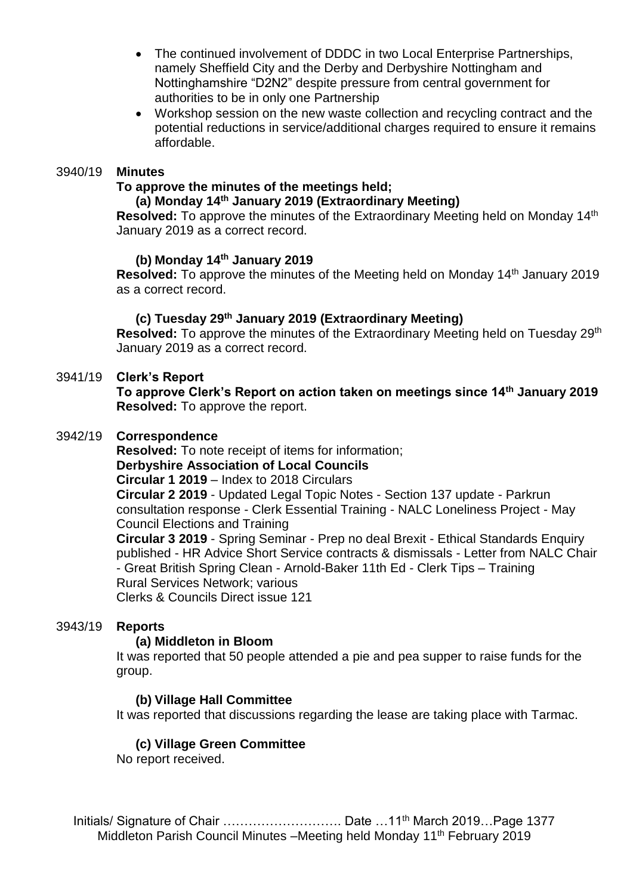- The continued involvement of DDDC in two Local Enterprise Partnerships, namely Sheffield City and the Derby and Derbyshire Nottingham and Nottinghamshire "D2N2" despite pressure from central government for authorities to be in only one Partnership
- Workshop session on the new waste collection and recycling contract and the potential reductions in service/additional charges required to ensure it remains affordable.

#### 3940/19 **Minutes**

### **To approve the minutes of the meetings held;**

#### **(a) Monday 14th January 2019 (Extraordinary Meeting)**

**Resolved:** To approve the minutes of the Extraordinary Meeting held on Monday 14<sup>th</sup> January 2019 as a correct record.

#### **(b) Monday 14th January 2019**

**Resolved:** To approve the minutes of the Meeting held on Monday 14<sup>th</sup> January 2019 as a correct record.

#### **(c) Tuesday 29th January 2019 (Extraordinary Meeting)**

**Resolved:** To approve the minutes of the Extraordinary Meeting held on Tuesday 29<sup>th</sup> January 2019 as a correct record.

#### 3941/19 **Clerk's Report**

**To approve Clerk's Report on action taken on meetings since 14th January 2019 Resolved:** To approve the report.

#### 3942/19 **Correspondence**

**Resolved:** To note receipt of items for information; **Derbyshire Association of Local Councils Circular 1 2019** – Index to 2018 Circulars **Circular 2 2019** - Updated Legal Topic Notes - Section 137 update - Parkrun consultation response - Clerk Essential Training - NALC Loneliness Project - May Council Elections and Training **Circular 3 2019** - Spring Seminar - Prep no deal Brexit - Ethical Standards Enquiry published - HR Advice Short Service contracts & dismissals - Letter from NALC Chair - Great British Spring Clean - Arnold-Baker 11th Ed - Clerk Tips – Training Rural Services Network; various Clerks & Councils Direct issue 121

#### 3943/19 **Reports**

#### **(a) Middleton in Bloom**

It was reported that 50 people attended a pie and pea supper to raise funds for the group.

#### **(b) Village Hall Committee**

It was reported that discussions regarding the lease are taking place with Tarmac.

#### **(c) Village Green Committee**

No report received.

Initials/ Signature of Chair ………………………… Date …11<sup>th</sup> March 2019…Page 1377 Middleton Parish Council Minutes -Meeting held Monday 11<sup>th</sup> February 2019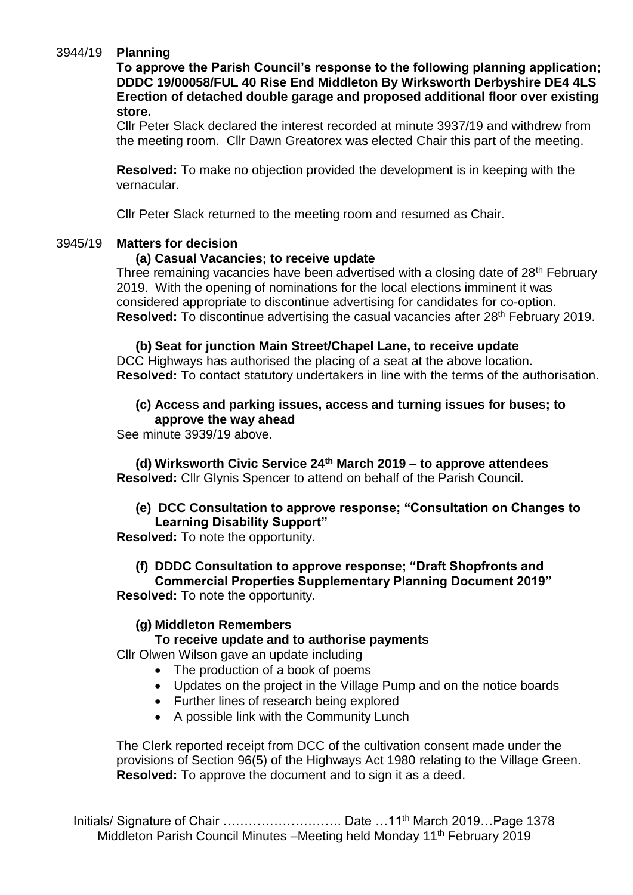#### 3944/19 **Planning**

**To approve the Parish Council's response to the following planning application; DDDC 19/00058/FUL 40 Rise End Middleton By Wirksworth Derbyshire DE4 4LS Erection of detached double garage and proposed additional floor over existing store.**

Cllr Peter Slack declared the interest recorded at minute 3937/19 and withdrew from the meeting room. Cllr Dawn Greatorex was elected Chair this part of the meeting.

**Resolved:** To make no objection provided the development is in keeping with the vernacular.

Cllr Peter Slack returned to the meeting room and resumed as Chair.

#### 3945/19 **Matters for decision**

#### **(a) Casual Vacancies; to receive update**

Three remaining vacancies have been advertised with a closing date of 28<sup>th</sup> February 2019. With the opening of nominations for the local elections imminent it was considered appropriate to discontinue advertising for candidates for co-option. **Resolved:** To discontinue advertising the casual vacancies after 28th February 2019.

**(b) Seat for junction Main Street/Chapel Lane, to receive update** DCC Highways has authorised the placing of a seat at the above location. **Resolved:** To contact statutory undertakers in line with the terms of the authorisation.

#### **(c) Access and parking issues, access and turning issues for buses; to approve the way ahead**

See minute 3939/19 above.

**(d) Wirksworth Civic Service 24th March 2019 – to approve attendees Resolved:** Cllr Glynis Spencer to attend on behalf of the Parish Council.

#### **(e) DCC Consultation to approve response; "Consultation on Changes to Learning Disability Support"**

**Resolved:** To note the opportunity.

#### **(f) DDDC Consultation to approve response; "Draft Shopfronts and**

**Commercial Properties Supplementary Planning Document 2019" Resolved:** To note the opportunity.

#### **(g) Middleton Remembers**

#### **To receive update and to authorise payments**

Cllr Olwen Wilson gave an update including

- The production of a book of poems
- Updates on the project in the Village Pump and on the notice boards
- Further lines of research being explored
- A possible link with the Community Lunch

The Clerk reported receipt from DCC of the cultivation consent made under the provisions of Section 96(5) of the Highways Act 1980 relating to the Village Green. **Resolved:** To approve the document and to sign it as a deed.

Initials/ Signature of Chair ………………………… Date …11<sup>th</sup> March 2019...Page 1378 Middleton Parish Council Minutes -Meeting held Monday 11<sup>th</sup> February 2019